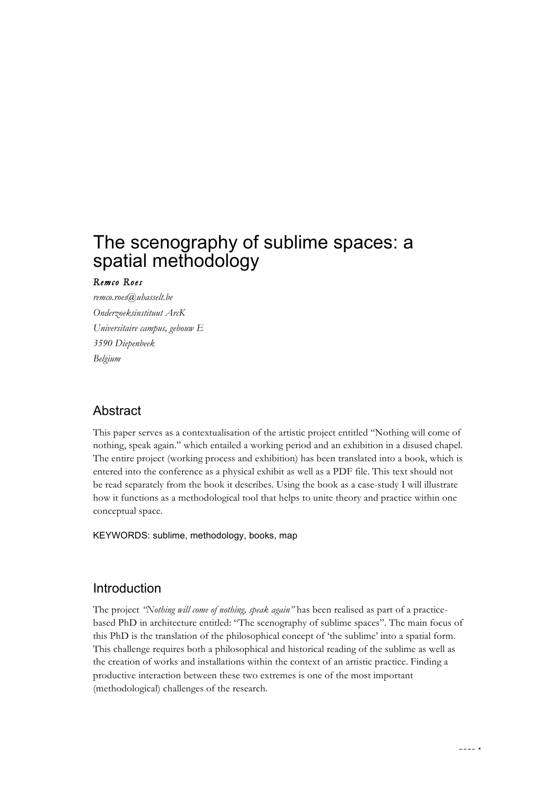# The scenography of sublime spaces: a spatial methodology

#### *Remco Roes*

*remco.roes@uhasselt.be Onderzoeksinstituut ArcK Universitaire campus, gebouw E 3590 Diepenbeek Belgium*

# Abstract

This paper serves as a contextualisation of the artistic project entitled "Nothing will come of nothing, speak again." which entailed a working period and an exhibition in a disused chapel. The entire project (working process and exhibition) has been translated into a book, which is entered into the conference as a physical exhibit as well as a PDF file. This text should not be read separately from the book it describes. Using the book as a case-study I will illustrate how it functions as a methodological tool that helps to unite theory and practice within one conceptual space.

KEYWORDS: sublime, methodology, books, map

#### Introduction

The project *"Nothing will come of nothing, speak again"* has been realised as part of a practicebased PhD in architecture entitled: "The scenography of sublime spaces". The main focus of this PhD is the translation of the philosophical concept of 'the sublime' into a spatial form. This challenge requires both a philosophical and historical reading of the sublime as well as the creation of works and installations within the context of an artistic practice. Finding a productive interaction between these two extremes is one of the most important (methodological) challenges of the research.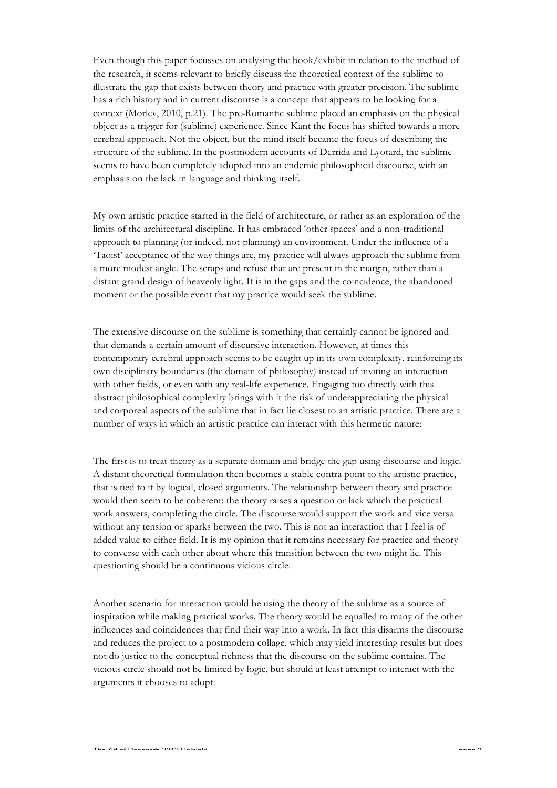Even though this paper focusses on analysing the book/exhibit in relation to the method of the research, it seems relevant to briefly discuss the theoretical context of the sublime to illustrate the gap that exists between theory and practice with greater precision. The sublime has a rich history and in current discourse is a concept that appears to be looking for a context (Morley, 2010, p.21). The pre-Romantic sublime placed an emphasis on the physical object as a trigger for (sublime) experience. Since Kant the focus has shifted towards a more cerebral approach. Not the object, but the mind itself became the focus of describing the structure of the sublime. In the postmodern accounts of Derrida and Lyotard, the sublime seems to have been completely adopted into an endemic philosophical discourse, with an emphasis on the lack in language and thinking itself.

My own artistic practice started in the field of architecture, or rather as an exploration of the limits of the architectural discipline. It has embraced 'other spaces' and a non-traditional approach to planning (or indeed, not-planning) an environment. Under the influence of a 'Taoist' acceptance of the way things are, my practice will always approach the sublime from a more modest angle. The scraps and refuse that are present in the margin, rather than a distant grand design of heavenly light. It is in the gaps and the coincidence, the abandoned moment or the possible event that my practice would seek the sublime.

The extensive discourse on the sublime is something that certainly cannot be ignored and that demands a certain amount of discursive interaction. However, at times this contemporary cerebral approach seems to be caught up in its own complexity, reinforcing its own disciplinary boundaries (the domain of philosophy) instead of inviting an interaction with other fields, or even with any real-life experience. Engaging too directly with this abstract philosophical complexity brings with it the risk of underappreciating the physical and corporeal aspects of the sublime that in fact lie closest to an artistic practice. There are a number of ways in which an artistic practice can interact with this hermetic nature:

The first is to treat theory as a separate domain and bridge the gap using discourse and logic. A distant theoretical formulation then becomes a stable contra point to the artistic practice, that is tied to it by logical, closed arguments. The relationship between theory and practice would then seem to be coherent: the theory raises a question or lack which the practical work answers, completing the circle. The discourse would support the work and vice versa without any tension or sparks between the two. This is not an interaction that I feel is of added value to either field. It is my opinion that it remains necessary for practice and theory to converse with each other about where this transition between the two might lie. This questioning should be a continuous vicious circle.

Another scenario for interaction would be using the theory of the sublime as a source of inspiration while making practical works. The theory would be equalled to many of the other influences and coincidences that find their way into a work. In fact this disarms the discourse and reduces the project to a postmodern collage, which may yield interesting results but does not do justice to the conceptual richness that the discourse on the sublime contains. The vicious circle should not be limited by logic, but should at least attempt to interact with the arguments it chooses to adopt.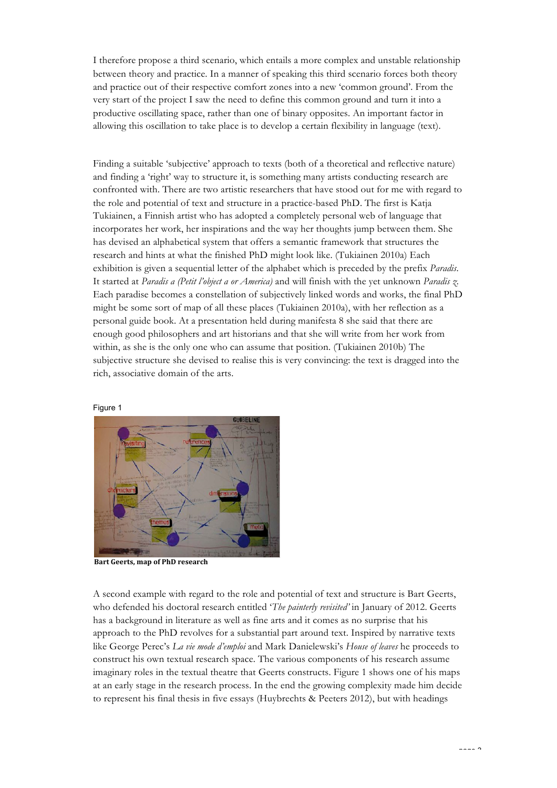I therefore propose a third scenario, which entails a more complex and unstable relationship between theory and practice. In a manner of speaking this third scenario forces both theory and practice out of their respective comfort zones into a new 'common ground'. From the very start of the project I saw the need to define this common ground and turn it into a productive oscillating space, rather than one of binary opposites. An important factor in allowing this oscillation to take place is to develop a certain flexibility in language (text).

Finding a suitable 'subjective' approach to texts (both of a theoretical and reflective nature) and finding a 'right' way to structure it, is something many artists conducting research are confronted with. There are two artistic researchers that have stood out for me with regard to the role and potential of text and structure in a practice-based PhD. The first is Katja Tukiainen, a Finnish artist who has adopted a completely personal web of language that incorporates her work, her inspirations and the way her thoughts jump between them. She has devised an alphabetical system that offers a semantic framework that structures the research and hints at what the finished PhD might look like. (Tukiainen 2010a) Each exhibition is given a sequential letter of the alphabet which is preceded by the prefix *Paradis*. It started at *Paradis a (Petit l'object a or America)* and will finish with the yet unknown *Paradis z.*  Each paradise becomes a constellation of subjectively linked words and works, the final PhD might be some sort of map of all these places (Tukiainen 2010a), with her reflection as a personal guide book. At a presentation held during manifesta 8 she said that there are enough good philosophers and art historians and that she will write from her work from within, as she is the only one who can assume that position. (Tukiainen 2010b) The subjective structure she devised to realise this is very convincing: the text is dragged into the rich, associative domain of the arts.



Figure 1

**Bart Geerts, map of PhD research** 

A second example with regard to the role and potential of text and structure is Bart Geerts, who defended his doctoral research entitled '*The painterly revisited'* in January of 2012. Geerts has a background in literature as well as fine arts and it comes as no surprise that his approach to the PhD revolves for a substantial part around text. Inspired by narrative texts like George Perec's *La vie mode d'emploi* and Mark Danielewski's *House of leaves* he proceeds to construct his own textual research space. The various components of his research assume imaginary roles in the textual theatre that Geerts constructs. Figure 1 shows one of his maps at an early stage in the research process. In the end the growing complexity made him decide to represent his final thesis in five essays (Huybrechts & Peeters 2012), but with headings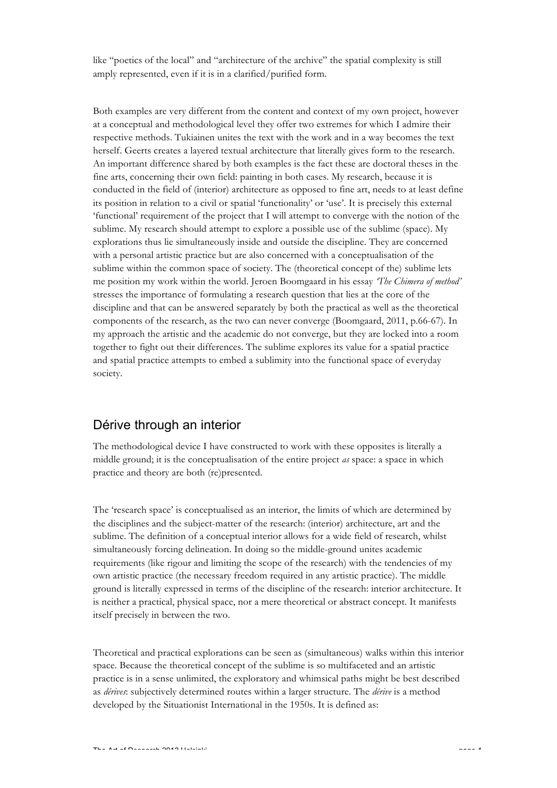like "poetics of the local" and "architecture of the archive" the spatial complexity is still amply represented, even if it is in a clarified/purified form.

Both examples are very different from the content and context of my own project, however at a conceptual and methodological level they offer two extremes for which I admire their respective methods. Tukiainen unites the text with the work and in a way becomes the text herself. Geerts creates a layered textual architecture that literally gives form to the research. An important difference shared by both examples is the fact these are doctoral theses in the fine arts, concerning their own field: painting in both cases. My research, because it is conducted in the field of (interior) architecture as opposed to fine art, needs to at least define its position in relation to a civil or spatial 'functionality' or 'use'. It is precisely this external 'functional' requirement of the project that I will attempt to converge with the notion of the sublime. My research should attempt to explore a possible use of the sublime (space). My explorations thus lie simultaneously inside and outside the discipline. They are concerned with a personal artistic practice but are also concerned with a conceptualisation of the sublime within the common space of society. The (theoretical concept of the) sublime lets me position my work within the world. Jeroen Boomgaard in his essay *'The Chimera of method'*  stresses the importance of formulating a research question that lies at the core of the discipline and that can be answered separately by both the practical as well as the theoretical components of the research, as the two can never converge (Boomgaard, 2011, p.66-67). In my approach the artistic and the academic do not converge, but they are locked into a room together to fight out their differences. The sublime explores its value for a spatial practice and spatial practice attempts to embed a sublimity into the functional space of everyday society.

# Dérive through an interior

The methodological device I have constructed to work with these opposites is literally a middle ground; it is the conceptualisation of the entire project *as* space: a space in which practice and theory are both (re)presented.

The 'research space' is conceptualised as an interior, the limits of which are determined by the disciplines and the subject-matter of the research: (interior) architecture, art and the sublime. The definition of a conceptual interior allows for a wide field of research, whilst simultaneously forcing delineation. In doing so the middle-ground unites academic requirements (like rigour and limiting the scope of the research) with the tendencies of my own artistic practice (the necessary freedom required in any artistic practice). The middle ground is literally expressed in terms of the discipline of the research: interior architecture. It is neither a practical, physical space, nor a mere theoretical or abstract concept. It manifests itself precisely in between the two.

Theoretical and practical explorations can be seen as (simultaneous) walks within this interior space. Because the theoretical concept of the sublime is so multifaceted and an artistic practice is in a sense unlimited, the exploratory and whimsical paths might be best described as *dérives*: subjectively determined routes within a larger structure. The *dérive* is a method developed by the Situationist International in the 1950s. It is defined as: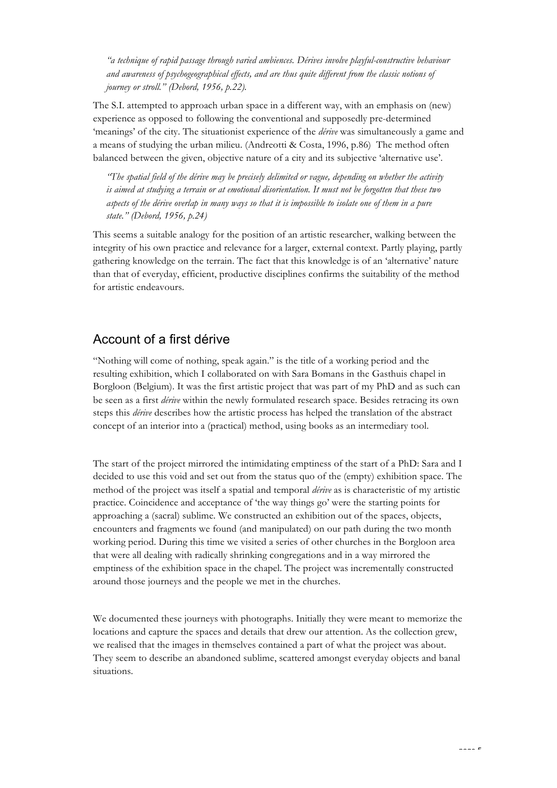*"a technique of rapid passage through varied ambiences. Dérives involve playful-constructive behaviour and awareness of psychogeographical effects, and are thus quite different from the classic notions of journey or stroll." (Debord, 1956, p.22).*

The S.I. attempted to approach urban space in a different way, with an emphasis on (new) experience as opposed to following the conventional and supposedly pre-determined 'meanings' of the city. The situationist experience of the *dérive* was simultaneously a game and a means of studying the urban milieu. (Andreotti & Costa, 1996, p.86) The method often balanced between the given, objective nature of a city and its subjective 'alternative use'.

*"The spatial field of the dérive may be precisely delimited or vague, depending on whether the activity is aimed at studying a terrain or at emotional disorientation. It must not be forgotten that these two aspects of the dérive overlap in many ways so that it is impossible to isolate one of them in a pure state." (Debord, 1956, p.24)*

This seems a suitable analogy for the position of an artistic researcher, walking between the integrity of his own practice and relevance for a larger, external context. Partly playing, partly gathering knowledge on the terrain. The fact that this knowledge is of an 'alternative' nature than that of everyday, efficient, productive disciplines confirms the suitability of the method for artistic endeavours.

#### Account of a first dérive

"Nothing will come of nothing, speak again." is the title of a working period and the resulting exhibition, which I collaborated on with Sara Bomans in the Gasthuis chapel in Borgloon (Belgium). It was the first artistic project that was part of my PhD and as such can be seen as a first *dérive* within the newly formulated research space. Besides retracing its own steps this *dérive* describes how the artistic process has helped the translation of the abstract concept of an interior into a (practical) method, using books as an intermediary tool.

The start of the project mirrored the intimidating emptiness of the start of a PhD: Sara and I decided to use this void and set out from the status quo of the (empty) exhibition space. The method of the project was itself a spatial and temporal *dérive* as is characteristic of my artistic practice. Coincidence and acceptance of 'the way things go' were the starting points for approaching a (sacral) sublime. We constructed an exhibition out of the spaces, objects, encounters and fragments we found (and manipulated) on our path during the two month working period. During this time we visited a series of other churches in the Borgloon area that were all dealing with radically shrinking congregations and in a way mirrored the emptiness of the exhibition space in the chapel. The project was incrementally constructed around those journeys and the people we met in the churches.

We documented these journeys with photographs. Initially they were meant to memorize the locations and capture the spaces and details that drew our attention. As the collection grew, we realised that the images in themselves contained a part of what the project was about. They seem to describe an abandoned sublime, scattered amongst everyday objects and banal situations.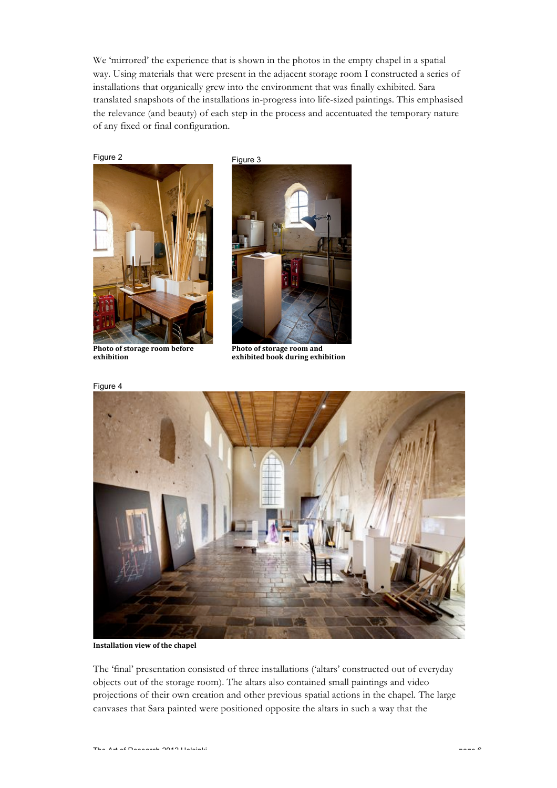We 'mirrored' the experience that is shown in the photos in the empty chapel in a spatial way. Using materials that were present in the adjacent storage room I constructed a series of installations that organically grew into the environment that was finally exhibited. Sara translated snapshots of the installations in-progress into life-sized paintings. This emphasised the relevance (and beauty) of each step in the process and accentuated the temporary nature of any fixed or final configuration.

Figure 2



**Photo of storage room before exhibition**



**Photo of storage room and** exhibited book during exhibition



**Installation view of the chapel** 

The 'final' presentation consisted of three installations ('altars' constructed out of everyday objects out of the storage room). The altars also contained small paintings and video projections of their own creation and other previous spatial actions in the chapel. The large canvases that Sara painted were positioned opposite the altars in such a way that the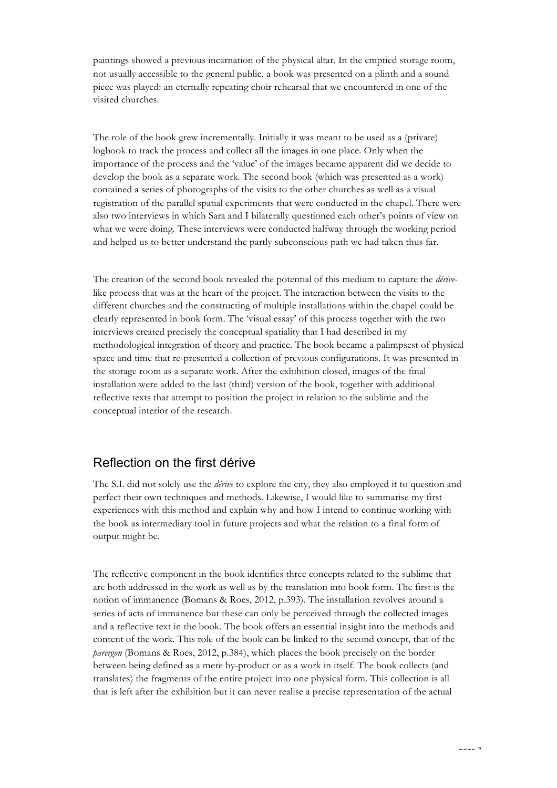paintings showed a previous incarnation of the physical altar. In the emptied storage room, not usually accessible to the general public, a book was presented on a plinth and a sound piece was played: an eternally repeating choir rehearsal that we encountered in one of the visited churches.

The role of the book grew incrementally. Initially it was meant to be used as a (private) logbook to track the process and collect all the images in one place. Only when the importance of the process and the 'value' of the images became apparent did we decide to develop the book as a separate work. The second book (which was presented as a work) contained a series of photographs of the visits to the other churches as well as a visual registration of the parallel spatial experiments that were conducted in the chapel. There were also two interviews in which Sara and I bilaterally questioned each other's points of view on what we were doing. These interviews were conducted halfway through the working period and helped us to better understand the partly subconscious path we had taken thus far.

The creation of the second book revealed the potential of this medium to capture the *dérive*like process that was at the heart of the project. The interaction between the visits to the different churches and the constructing of multiple installations within the chapel could be clearly represented in book form. The 'visual essay' of this process together with the two interviews created precisely the conceptual spatiality that I had described in my methodological integration of theory and practice. The book became a palimpsest of physical space and time that re-presented a collection of previous configurations. It was presented in the storage room as a separate work. After the exhibition closed, images of the final installation were added to the last (third) version of the book, together with additional reflective texts that attempt to position the project in relation to the sublime and the conceptual interior of the research.

# Reflection on the first dérive

The S.I. did not solely use the *dérive* to explore the city, they also employed it to question and perfect their own techniques and methods. Likewise, I would like to summarise my first experiences with this method and explain why and how I intend to continue working with the book as intermediary tool in future projects and what the relation to a final form of output might be.

The reflective component in the book identifies three concepts related to the sublime that are both addressed in the work as well as by the translation into book form. The first is the notion of immanence (Bomans & Roes, 2012, p.393). The installation revolves around a series of acts of immanence but these can only be perceived through the collected images and a reflective text in the book. The book offers an essential insight into the methods and content of the work. This role of the book can be linked to the second concept, that of the *parergon* (Bomans & Roes, 2012, p.384), which places the book precisely on the border between being defined as a mere by-product or as a work in itself. The book collects (and translates) the fragments of the entire project into one physical form. This collection is all that is left after the exhibition but it can never realise a precise representation of the actual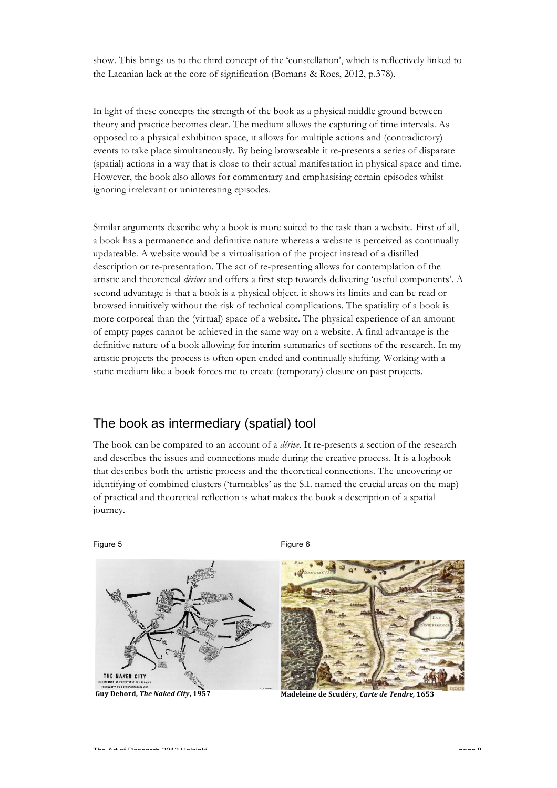show. This brings us to the third concept of the 'constellation', which is reflectively linked to the Lacanian lack at the core of signification (Bomans & Roes, 2012, p.378).

In light of these concepts the strength of the book as a physical middle ground between theory and practice becomes clear. The medium allows the capturing of time intervals. As opposed to a physical exhibition space, it allows for multiple actions and (contradictory) events to take place simultaneously. By being browseable it re-presents a series of disparate (spatial) actions in a way that is close to their actual manifestation in physical space and time. However, the book also allows for commentary and emphasising certain episodes whilst ignoring irrelevant or uninteresting episodes.

Similar arguments describe why a book is more suited to the task than a website. First of all, a book has a permanence and definitive nature whereas a website is perceived as continually updateable. A website would be a virtualisation of the project instead of a distilled description or re-presentation. The act of re-presenting allows for contemplation of the artistic and theoretical *dérives* and offers a first step towards delivering 'useful components'. A second advantage is that a book is a physical object, it shows its limits and can be read or browsed intuitively without the risk of technical complications. The spatiality of a book is more corporeal than the (virtual) space of a website. The physical experience of an amount of empty pages cannot be achieved in the same way on a website. A final advantage is the definitive nature of a book allowing for interim summaries of sections of the research. In my artistic projects the process is often open ended and continually shifting. Working with a static medium like a book forces me to create (temporary) closure on past projects.

# The book as intermediary (spatial) tool

The book can be compared to an account of a *dérive*. It re-presents a section of the research and describes the issues and connections made during the creative process. It is a logbook that describes both the artistic process and the theoretical connections. The uncovering or identifying of combined clusters ('turntables' as the S.I. named the crucial areas on the map) of practical and theoretical reflection is what makes the book a description of a spatial journey.

Figure 5



Figure 6



**Guy%Debord,%***The\$Naked\$City***,%1957 Madeleine%de%Scudéry,%***Carte\$de\$Tendre,\$***1653**